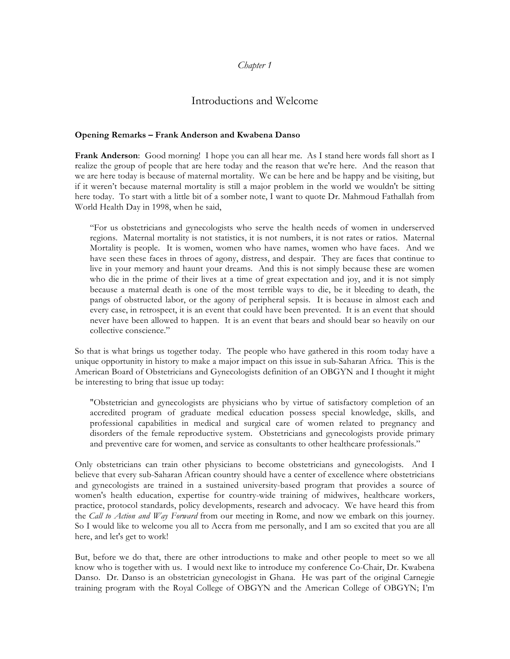### *Chapter 1*

# Introductions and Welcome

#### **Opening Remarks – Frank Anderson and Kwabena Danso**

**Frank Anderson**: Good morning! I hope you can all hear me. As I stand here words fall short as I realize the group of people that are here today and the reason that we're here. And the reason that we are here today is because of maternal mortality. We can be here and be happy and be visiting, but if it weren't because maternal mortality is still a major problem in the world we wouldn't be sitting here today. To start with a little bit of a somber note, I want to quote Dr. Mahmoud Fathallah from World Health Day in 1998, when he said,

"For us obstetricians and gynecologists who serve the health needs of women in underserved regions. Maternal mortality is not statistics, it is not numbers, it is not rates or ratios. Maternal Mortality is people. It is women, women who have names, women who have faces. And we have seen these faces in throes of agony, distress, and despair. They are faces that continue to live in your memory and haunt your dreams. And this is not simply because these are women who die in the prime of their lives at a time of great expectation and joy, and it is not simply because a maternal death is one of the most terrible ways to die, be it bleeding to death, the pangs of obstructed labor, or the agony of peripheral sepsis. It is because in almost each and every case, in retrospect, it is an event that could have been prevented. It is an event that should never have been allowed to happen. It is an event that bears and should bear so heavily on our collective conscience."

So that is what brings us together today. The people who have gathered in this room today have a unique opportunity in history to make a major impact on this issue in sub-Saharan Africa. This is the American Board of Obstetricians and Gynecologists definition of an OBGYN and I thought it might be interesting to bring that issue up today:

"Obstetrician and gynecologists are physicians who by virtue of satisfactory completion of an accredited program of graduate medical education possess special knowledge, skills, and professional capabilities in medical and surgical care of women related to pregnancy and disorders of the female reproductive system. Obstetricians and gynecologists provide primary and preventive care for women, and service as consultants to other healthcare professionals."

Only obstetricians can train other physicians to become obstetricians and gynecologists. And I believe that every sub-Saharan African country should have a center of excellence where obstetricians and gynecologists are trained in a sustained university-based program that provides a source of women's health education, expertise for country-wide training of midwives, healthcare workers, practice, protocol standards, policy developments, research and advocacy. We have heard this from the *Call to Action and Way Forward* from our meeting in Rome, and now we embark on this journey. So I would like to welcome you all to Accra from me personally, and I am so excited that you are all here, and let's get to work!

But, before we do that, there are other introductions to make and other people to meet so we all know who is together with us. I would next like to introduce my conference Co-Chair, Dr. Kwabena Danso. Dr. Danso is an obstetrician gynecologist in Ghana. He was part of the original Carnegie training program with the Royal College of OBGYN and the American College of OBGYN; I'm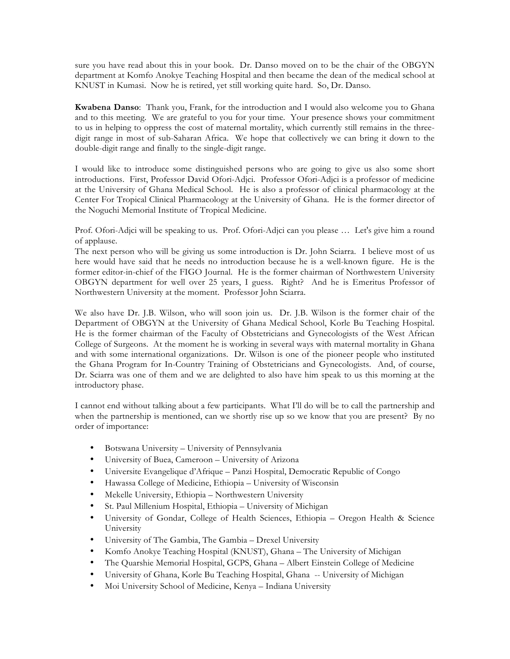sure you have read about this in your book. Dr. Danso moved on to be the chair of the OBGYN department at Komfo Anokye Teaching Hospital and then became the dean of the medical school at KNUST in Kumasi. Now he is retired, yet still working quite hard. So, Dr. Danso.

**Kwabena Danso**: Thank you, Frank, for the introduction and I would also welcome you to Ghana and to this meeting. We are grateful to you for your time. Your presence shows your commitment to us in helping to oppress the cost of maternal mortality, which currently still remains in the threedigit range in most of sub-Saharan Africa. We hope that collectively we can bring it down to the double-digit range and finally to the single-digit range.

I would like to introduce some distinguished persons who are going to give us also some short introductions. First, Professor David Ofori-Adjci. Professor Ofori-Adjci is a professor of medicine at the University of Ghana Medical School. He is also a professor of clinical pharmacology at the Center For Tropical Clinical Pharmacology at the University of Ghana. He is the former director of the Noguchi Memorial Institute of Tropical Medicine.

Prof. Ofori-Adjci will be speaking to us. Prof. Ofori-Adjci can you please ... Let's give him a round of applause.

The next person who will be giving us some introduction is Dr. John Sciarra. I believe most of us here would have said that he needs no introduction because he is a well-known figure. He is the former editor-in-chief of the FIGO Journal. He is the former chairman of Northwestern University OBGYN department for well over 25 years, I guess. Right? And he is Emeritus Professor of Northwestern University at the moment. Professor John Sciarra.

We also have Dr. J.B. Wilson, who will soon join us. Dr. J.B. Wilson is the former chair of the Department of OBGYN at the University of Ghana Medical School, Korle Bu Teaching Hospital. He is the former chairman of the Faculty of Obstetricians and Gynecologists of the West African College of Surgeons. At the moment he is working in several ways with maternal mortality in Ghana and with some international organizations. Dr. Wilson is one of the pioneer people who instituted the Ghana Program for In-Country Training of Obstetricians and Gynecologists. And, of course, Dr. Sciarra was one of them and we are delighted to also have him speak to us this morning at the introductory phase.

I cannot end without talking about a few participants. What I'll do will be to call the partnership and when the partnership is mentioned, can we shortly rise up so we know that you are present? By no order of importance:

- Botswana University University of Pennsylvania
- University of Buea, Cameroon University of Arizona
- Universite Evangelique d'Afrique Panzi Hospital, Democratic Republic of Congo
- Hawassa College of Medicine, Ethiopia University of Wisconsin
- Mekelle University, Ethiopia Northwestern University
- St. Paul Millenium Hospital, Ethiopia University of Michigan
- University of Gondar, College of Health Sciences, Ethiopia Oregon Health & Science University
- University of The Gambia, The Gambia Drexel University
- Komfo Anokye Teaching Hospital (KNUST), Ghana The University of Michigan
- The Quarshie Memorial Hospital, GCPS, Ghana Albert Einstein College of Medicine
- University of Ghana, Korle Bu Teaching Hospital, Ghana -- University of Michigan
- Moi University School of Medicine, Kenya Indiana University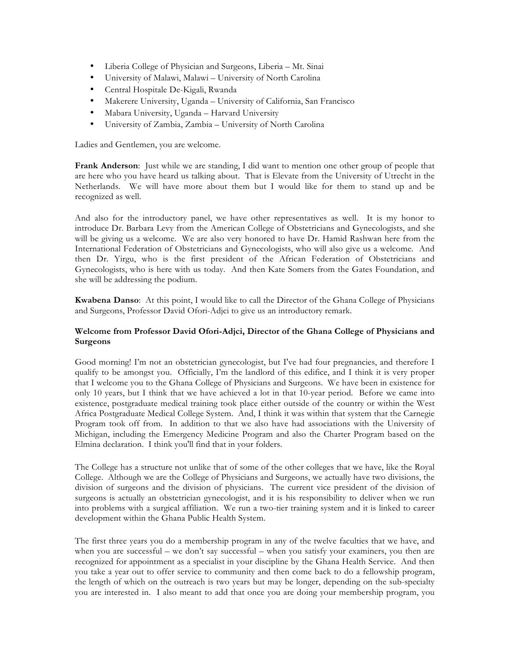- Liberia College of Physician and Surgeons, Liberia Mt. Sinai
- University of Malawi, Malawi University of North Carolina
- Central Hospitale De-Kigali, Rwanda
- Makerere University, Uganda University of California, San Francisco
- Mabara University, Uganda Harvard University
- University of Zambia, Zambia University of North Carolina

Ladies and Gentlemen, you are welcome.

**Frank Anderson**: Just while we are standing, I did want to mention one other group of people that are here who you have heard us talking about. That is Elevate from the University of Utrecht in the Netherlands. We will have more about them but I would like for them to stand up and be recognized as well.

And also for the introductory panel, we have other representatives as well. It is my honor to introduce Dr. Barbara Levy from the American College of Obstetricians and Gynecologists, and she will be giving us a welcome. We are also very honored to have Dr. Hamid Rashwan here from the International Federation of Obstetricians and Gynecologists, who will also give us a welcome. And then Dr. Yirgu, who is the first president of the African Federation of Obstetricians and Gynecologists, who is here with us today. And then Kate Somers from the Gates Foundation, and she will be addressing the podium.

**Kwabena Danso**: At this point, I would like to call the Director of the Ghana College of Physicians and Surgeons, Professor David Ofori-Adjci to give us an introductory remark.

### **Welcome from Professor David Ofori-Adjci, Director of the Ghana College of Physicians and Surgeons**

Good morning! I'm not an obstetrician gynecologist, but I've had four pregnancies, and therefore I qualify to be amongst you. Officially, I'm the landlord of this edifice, and I think it is very proper that I welcome you to the Ghana College of Physicians and Surgeons. We have been in existence for only 10 years, but I think that we have achieved a lot in that 10-year period. Before we came into existence, postgraduate medical training took place either outside of the country or within the West Africa Postgraduate Medical College System. And, I think it was within that system that the Carnegie Program took off from. In addition to that we also have had associations with the University of Michigan, including the Emergency Medicine Program and also the Charter Program based on the Elmina declaration. I think you'll find that in your folders.

The College has a structure not unlike that of some of the other colleges that we have, like the Royal College. Although we are the College of Physicians and Surgeons, we actually have two divisions, the division of surgeons and the division of physicians. The current vice president of the division of surgeons is actually an obstetrician gynecologist, and it is his responsibility to deliver when we run into problems with a surgical affiliation. We run a two-tier training system and it is linked to career development within the Ghana Public Health System.

The first three years you do a membership program in any of the twelve faculties that we have, and when you are successful – we don't say successful – when you satisfy your examiners, you then are recognized for appointment as a specialist in your discipline by the Ghana Health Service. And then you take a year out to offer service to community and then come back to do a fellowship program, the length of which on the outreach is two years but may be longer, depending on the sub-specialty you are interested in. I also meant to add that once you are doing your membership program, you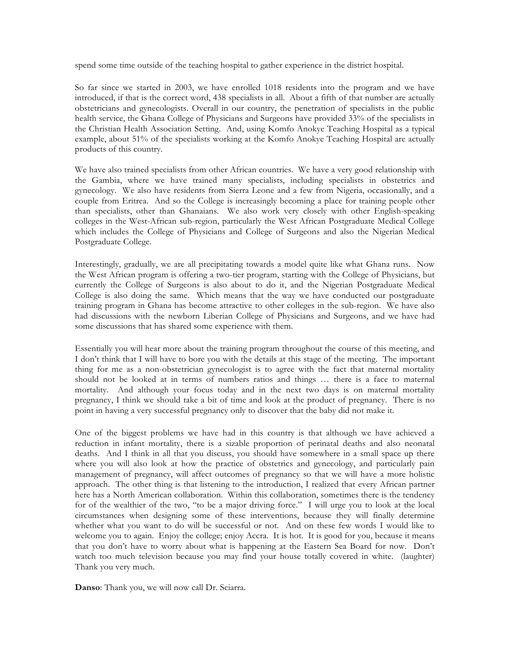spend some time outside of the teaching hospital to gather experience in the district hospital.

So far since we started in 2003, we have enrolled 1018 residents into the program and we have introduced, if that is the correct word, 438 specialists in all. About a fifth of that number are actually obstetricians and gynecologists. Overall in our country, the penetration of specialists in the public health service, the Ghana College of Physicians and Surgeons have provided 33% of the specialists in the Christian Health Association Setting. And, using Komfo Anokye Teaching Hospital as a typical example, about 51% of the specialists working at the Komfo Anokye Teaching Hospital are actually products of this country.

We have also trained specialists from other African countries. We have a very good relationship with the Gambia, where we have trained many specialists, including specialists in obstetrics and gynecology. We also have residents from Sierra Leone and a few from Nigeria, occasionally, and a couple from Eritrea. And so the College is increasingly becoming a place for training people other than specialists, other than Ghanaians. We also work very closely with other English-speaking colleges in the West-African sub-region, particularly the West African Postgraduate Medical College which includes the College of Physicians and College of Surgeons and also the Nigerian Medical Postgraduate College.

Interestingly, gradually, we are all precipitating towards a model quite like what Ghana runs. Now the West African program is offering a two-tier program, starting with the College of Physicians, but currently the College of Surgeons is also about to do it, and the Nigerian Postgraduate Medical College is also doing the same. Which means that the way we have conducted our postgraduate training program in Ghana has become attractive to other colleges in the sub-region. We have also had discussions with the newborn Liberian College of Physicians and Surgeons, and we have had some discussions that has shared some experience with them.

Essentially you will hear more about the training program throughout the course of this meeting, and I don't think that I will have to bore you with the details at this stage of the meeting. The important thing for me as a non-obstetrician gynecologist is to agree with the fact that maternal mortality should not be looked at in terms of numbers ratios and things … there is a face to maternal mortality. And although your focus today and in the next two days is on maternal mortality pregnancy, I think we should take a bit of time and look at the product of pregnancy. There is no point in having a very successful pregnancy only to discover that the baby did not make it.

One of the biggest problems we have had in this country is that although we have achieved a reduction in infant mortality, there is a sizable proportion of perinatal deaths and also neonatal deaths. And I think in all that you discuss, you should have somewhere in a small space up there where you will also look at how the practice of obstetrics and gynecology, and particularly pain management of pregnancy, will affect outcomes of pregnancy so that we will have a more holistic approach. The other thing is that listening to the introduction, I realized that every African partner here has a North American collaboration. Within this collaboration, sometimes there is the tendency for of the wealthier of the two, "to be a major driving force." I will urge you to look at the local circumstances when designing some of these interventions, because they will finally determine whether what you want to do will be successful or not. And on these few words I would like to welcome you to again. Enjoy the college; enjoy Accra. It is hot. It is good for you, because it means that you don't have to worry about what is happening at the Eastern Sea Board for now. Don't watch too much television because you may find your house totally covered in white. (laughter) Thank you very much.

**Danso**: Thank you, we will now call Dr. Sciarra.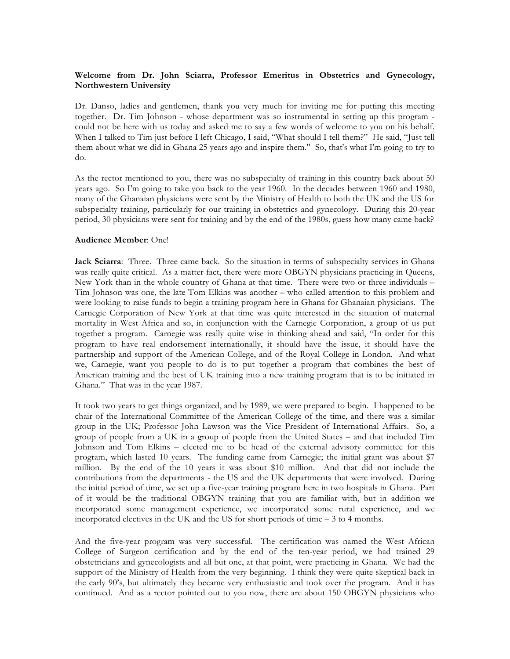#### **Welcome from Dr. John Sciarra, Professor Emeritus in Obstetrics and Gynecology, Northwestern University**

Dr. Danso, ladies and gentlemen, thank you very much for inviting me for putting this meeting together. Dr. Tim Johnson - whose department was so instrumental in setting up this program could not be here with us today and asked me to say a few words of welcome to you on his behalf. When I talked to Tim just before I left Chicago, I said, "What should I tell them?" He said, "Just tell them about what we did in Ghana 25 years ago and inspire them." So, that's what I'm going to try to do.

As the rector mentioned to you, there was no subspecialty of training in this country back about 50 years ago. So I'm going to take you back to the year 1960. In the decades between 1960 and 1980, many of the Ghanaian physicians were sent by the Ministry of Health to both the UK and the US for subspecialty training, particularly for our training in obstetrics and gynecology. During this 20-year period, 30 physicians were sent for training and by the end of the 1980s, guess how many came back?

#### **Audience Member**: One!

**Jack Sciarra**: Three. Three came back. So the situation in terms of subspecialty services in Ghana was really quite critical. As a matter fact, there were more OBGYN physicians practicing in Queens, New York than in the whole country of Ghana at that time. There were two or three individuals – Tim Johnson was one, the late Tom Elkins was another – who called attention to this problem and were looking to raise funds to begin a training program here in Ghana for Ghanaian physicians. The Carnegie Corporation of New York at that time was quite interested in the situation of maternal mortality in West Africa and so, in conjunction with the Carnegie Corporation, a group of us put together a program. Carnegie was really quite wise in thinking ahead and said, "In order for this program to have real endorsement internationally, it should have the issue, it should have the partnership and support of the American College, and of the Royal College in London. And what we, Carnegie, want you people to do is to put together a program that combines the best of American training and the best of UK training into a new training program that is to be initiated in Ghana." That was in the year 1987.

It took two years to get things organized, and by 1989, we were prepared to begin. I happened to be chair of the International Committee of the American College of the time, and there was a similar group in the UK; Professor John Lawson was the Vice President of International Affairs. So, a group of people from a UK in a group of people from the United States – and that included Tim Johnson and Tom Elkins – elected me to be head of the external advisory committee for this program, which lasted 10 years. The funding came from Carnegie; the initial grant was about \$7 million. By the end of the 10 years it was about \$10 million. And that did not include the contributions from the departments - the US and the UK departments that were involved. During the initial period of time, we set up a five-year training program here in two hospitals in Ghana. Part of it would be the traditional OBGYN training that you are familiar with, but in addition we incorporated some management experience, we incorporated some rural experience, and we incorporated electives in the UK and the US for short periods of time – 3 to 4 months.

And the five-year program was very successful. The certification was named the West African College of Surgeon certification and by the end of the ten-year period, we had trained 29 obstetricians and gynecologists and all but one, at that point, were practicing in Ghana. We had the support of the Ministry of Health from the very beginning. I think they were quite skeptical back in the early 90's, but ultimately they became very enthusiastic and took over the program. And it has continued. And as a rector pointed out to you now, there are about 150 OBGYN physicians who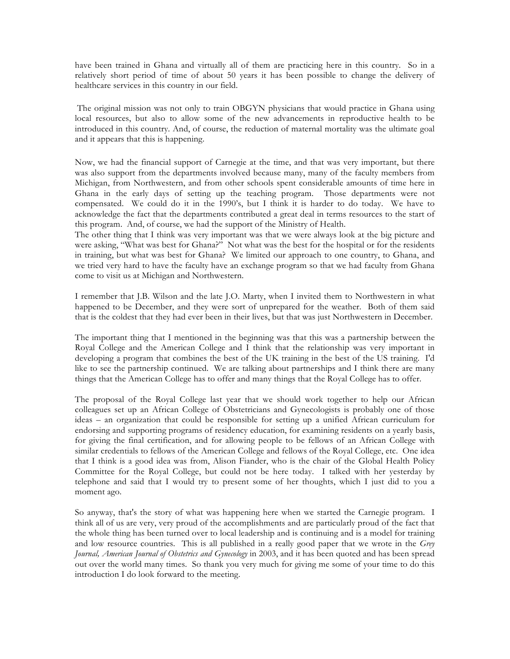have been trained in Ghana and virtually all of them are practicing here in this country. So in a relatively short period of time of about 50 years it has been possible to change the delivery of healthcare services in this country in our field.

The original mission was not only to train OBGYN physicians that would practice in Ghana using local resources, but also to allow some of the new advancements in reproductive health to be introduced in this country. And, of course, the reduction of maternal mortality was the ultimate goal and it appears that this is happening.

Now, we had the financial support of Carnegie at the time, and that was very important, but there was also support from the departments involved because many, many of the faculty members from Michigan, from Northwestern, and from other schools spent considerable amounts of time here in Ghana in the early days of setting up the teaching program. Those departments were not compensated. We could do it in the 1990's, but I think it is harder to do today. We have to acknowledge the fact that the departments contributed a great deal in terms resources to the start of this program. And, of course, we had the support of the Ministry of Health.

The other thing that I think was very important was that we were always look at the big picture and were asking, "What was best for Ghana?" Not what was the best for the hospital or for the residents in training, but what was best for Ghana? We limited our approach to one country, to Ghana, and we tried very hard to have the faculty have an exchange program so that we had faculty from Ghana come to visit us at Michigan and Northwestern.

I remember that J.B. Wilson and the late J.O. Marty, when I invited them to Northwestern in what happened to be December, and they were sort of unprepared for the weather. Both of them said that is the coldest that they had ever been in their lives, but that was just Northwestern in December.

The important thing that I mentioned in the beginning was that this was a partnership between the Royal College and the American College and I think that the relationship was very important in developing a program that combines the best of the UK training in the best of the US training. I'd like to see the partnership continued. We are talking about partnerships and I think there are many things that the American College has to offer and many things that the Royal College has to offer.

The proposal of the Royal College last year that we should work together to help our African colleagues set up an African College of Obstetricians and Gynecologists is probably one of those ideas – an organization that could be responsible for setting up a unified African curriculum for endorsing and supporting programs of residency education, for examining residents on a yearly basis, for giving the final certification, and for allowing people to be fellows of an African College with similar credentials to fellows of the American College and fellows of the Royal College, etc. One idea that I think is a good idea was from, Alison Fiander, who is the chair of the Global Health Policy Committee for the Royal College, but could not be here today. I talked with her yesterday by telephone and said that I would try to present some of her thoughts, which I just did to you a moment ago.

So anyway, that's the story of what was happening here when we started the Carnegie program. I think all of us are very, very proud of the accomplishments and are particularly proud of the fact that the whole thing has been turned over to local leadership and is continuing and is a model for training and low resource countries. This is all published in a really good paper that we wrote in the *Grey Journal, American Journal of Obstetrics and Gynecology* in 2003, and it has been quoted and has been spread out over the world many times. So thank you very much for giving me some of your time to do this introduction I do look forward to the meeting.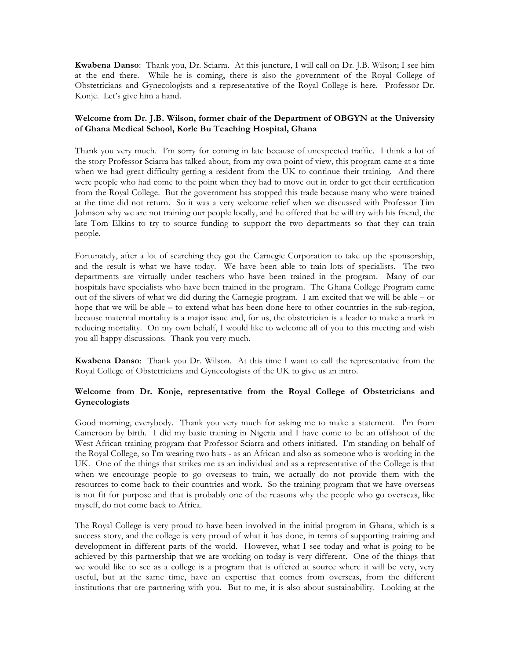**Kwabena Danso**: Thank you, Dr. Sciarra. At this juncture, I will call on Dr. J.B. Wilson; I see him at the end there. While he is coming, there is also the government of the Royal College of Obstetricians and Gynecologists and a representative of the Royal College is here. Professor Dr. Konje. Let's give him a hand.

## **Welcome from Dr. J.B. Wilson, former chair of the Department of OBGYN at the University of Ghana Medical School, Korle Bu Teaching Hospital, Ghana**

Thank you very much. I'm sorry for coming in late because of unexpected traffic. I think a lot of the story Professor Sciarra has talked about, from my own point of view, this program came at a time when we had great difficulty getting a resident from the UK to continue their training. And there were people who had come to the point when they had to move out in order to get their certification from the Royal College. But the government has stopped this trade because many who were trained at the time did not return. So it was a very welcome relief when we discussed with Professor Tim Johnson why we are not training our people locally, and he offered that he will try with his friend, the late Tom Elkins to try to source funding to support the two departments so that they can train people.

Fortunately, after a lot of searching they got the Carnegie Corporation to take up the sponsorship, and the result is what we have today. We have been able to train lots of specialists. The two departments are virtually under teachers who have been trained in the program. Many of our hospitals have specialists who have been trained in the program. The Ghana College Program came out of the slivers of what we did during the Carnegie program. I am excited that we will be able – or hope that we will be able – to extend what has been done here to other countries in the sub-region, because maternal mortality is a major issue and, for us, the obstetrician is a leader to make a mark in reducing mortality. On my own behalf, I would like to welcome all of you to this meeting and wish you all happy discussions. Thank you very much.

**Kwabena Danso**: Thank you Dr. Wilson. At this time I want to call the representative from the Royal College of Obstetricians and Gynecologists of the UK to give us an intro.

### **Welcome from Dr. Konje, representative from the Royal College of Obstetricians and Gynecologists**

Good morning, everybody. Thank you very much for asking me to make a statement. I'm from Cameroon by birth. I did my basic training in Nigeria and I have come to be an offshoot of the West African training program that Professor Sciarra and others initiated. I'm standing on behalf of the Royal College, so I'm wearing two hats - as an African and also as someone who is working in the UK. One of the things that strikes me as an individual and as a representative of the College is that when we encourage people to go overseas to train, we actually do not provide them with the resources to come back to their countries and work. So the training program that we have overseas is not fit for purpose and that is probably one of the reasons why the people who go overseas, like myself, do not come back to Africa.

The Royal College is very proud to have been involved in the initial program in Ghana, which is a success story, and the college is very proud of what it has done, in terms of supporting training and development in different parts of the world. However, what I see today and what is going to be achieved by this partnership that we are working on today is very different. One of the things that we would like to see as a college is a program that is offered at source where it will be very, very useful, but at the same time, have an expertise that comes from overseas, from the different institutions that are partnering with you. But to me, it is also about sustainability. Looking at the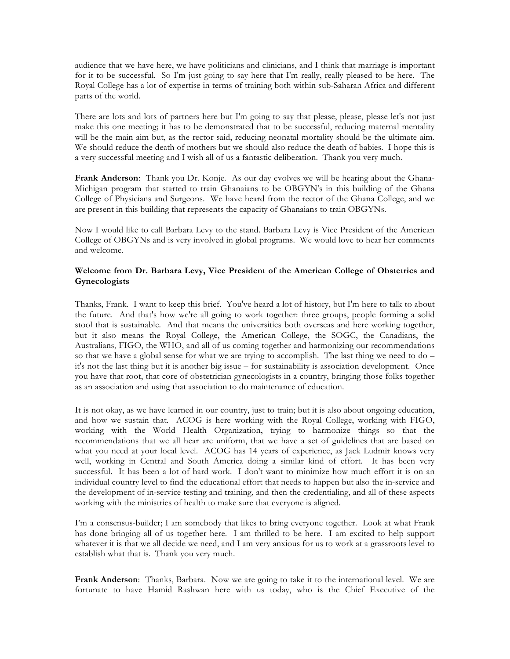audience that we have here, we have politicians and clinicians, and I think that marriage is important for it to be successful. So I'm just going to say here that I'm really, really pleased to be here. The Royal College has a lot of expertise in terms of training both within sub-Saharan Africa and different parts of the world.

There are lots and lots of partners here but I'm going to say that please, please, please let's not just make this one meeting; it has to be demonstrated that to be successful, reducing maternal mentality will be the main aim but, as the rector said, reducing neonatal mortality should be the ultimate aim. We should reduce the death of mothers but we should also reduce the death of babies. I hope this is a very successful meeting and I wish all of us a fantastic deliberation. Thank you very much.

**Frank Anderson**: Thank you Dr. Konje. As our day evolves we will be hearing about the Ghana-Michigan program that started to train Ghanaians to be OBGYN's in this building of the Ghana College of Physicians and Surgeons. We have heard from the rector of the Ghana College, and we are present in this building that represents the capacity of Ghanaians to train OBGYNs.

Now I would like to call Barbara Levy to the stand. Barbara Levy is Vice President of the American College of OBGYNs and is very involved in global programs. We would love to hear her comments and welcome.

## **Welcome from Dr. Barbara Levy, Vice President of the American College of Obstetrics and Gynecologists**

Thanks, Frank. I want to keep this brief. You've heard a lot of history, but I'm here to talk to about the future. And that's how we're all going to work together: three groups, people forming a solid stool that is sustainable. And that means the universities both overseas and here working together, but it also means the Royal College, the American College, the SOGC, the Canadians, the Australians, FIGO, the WHO, and all of us coming together and harmonizing our recommendations so that we have a global sense for what we are trying to accomplish. The last thing we need to do – it's not the last thing but it is another big issue – for sustainability is association development. Once you have that root, that core of obstetrician gynecologists in a country, bringing those folks together as an association and using that association to do maintenance of education.

It is not okay, as we have learned in our country, just to train; but it is also about ongoing education, and how we sustain that. ACOG is here working with the Royal College, working with FIGO, working with the World Health Organization, trying to harmonize things so that the recommendations that we all hear are uniform, that we have a set of guidelines that are based on what you need at your local level. ACOG has 14 years of experience, as Jack Ludmir knows very well, working in Central and South America doing a similar kind of effort. It has been very successful. It has been a lot of hard work. I don't want to minimize how much effort it is on an individual country level to find the educational effort that needs to happen but also the in-service and the development of in-service testing and training, and then the credentialing, and all of these aspects working with the ministries of health to make sure that everyone is aligned.

I'm a consensus-builder; I am somebody that likes to bring everyone together. Look at what Frank has done bringing all of us together here. I am thrilled to be here. I am excited to help support whatever it is that we all decide we need, and I am very anxious for us to work at a grassroots level to establish what that is. Thank you very much.

**Frank Anderson**: Thanks, Barbara. Now we are going to take it to the international level. We are fortunate to have Hamid Rashwan here with us today, who is the Chief Executive of the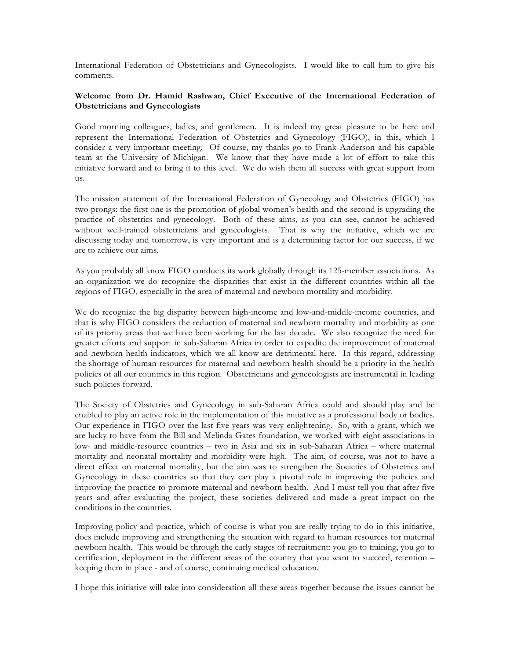International Federation of Obstetricians and Gynecologists. I would like to call him to give his comments.

#### **Welcome from Dr. Hamid Rashwan, Chief Executive of the International Federation of Obstetricians and Gynecologists**

Good morning colleagues, ladies, and gentlemen. It is indeed my great pleasure to be here and represent the International Federation of Obstetrics and Gynecology (FIGO), in this, which I consider a very important meeting. Of course, my thanks go to Frank Anderson and his capable team at the University of Michigan. We know that they have made a lot of effort to take this initiative forward and to bring it to this level. We do wish them all success with great support from us.

The mission statement of the International Federation of Gynecology and Obstetrics (FIGO) has two prongs: the first one is the promotion of global women's health and the second is upgrading the practice of obstetrics and gynecology. Both of these aims, as you can see, cannot be achieved without well-trained obstetricians and gynecologists. That is why the initiative, which we are discussing today and tomorrow, is very important and is a determining factor for our success, if we are to achieve our aims.

As you probably all know FIGO conducts its work globally through its 125-member associations. As an organization we do recognize the disparities that exist in the different countries within all the regions of FIGO, especially in the area of maternal and newborn mortality and morbidity.

We do recognize the big disparity between high-income and low-and-middle-income countries, and that is why FIGO considers the reduction of maternal and newborn mortality and morbidity as one of its priority areas that we have been working for the last decade. We also recognize the need for greater efforts and support in sub-Saharan Africa in order to expedite the improvement of maternal and newborn health indicators, which we all know are detrimental here. In this regard, addressing the shortage of human resources for maternal and newborn health should be a priority in the health policies of all our countries in this region. Obstetricians and gynecologists are instrumental in leading such policies forward.

The Society of Obstetrics and Gynecology in sub-Saharan Africa could and should play and be enabled to play an active role in the implementation of this initiative as a professional body or bodies. Our experience in FIGO over the last five years was very enlightening. So, with a grant, which we are lucky to have from the Bill and Melinda Gates foundation, we worked with eight associations in low- and middle-resource countries – two in Asia and six in sub-Saharan Africa – where maternal mortality and neonatal mortality and morbidity were high. The aim, of course, was not to have a direct effect on maternal mortality, but the aim was to strengthen the Societies of Obstetrics and Gynecology in these countries so that they can play a pivotal role in improving the policies and improving the practice to promote maternal and newborn health. And I must tell you that after five years and after evaluating the project, these societies delivered and made a great impact on the conditions in the countries.

Improving policy and practice, which of course is what you are really trying to do in this initiative, does include improving and strengthening the situation with regard to human resources for maternal newborn health. This would be through the early stages of recruitment: you go to training, you go to certification, deployment in the different areas of the country that you want to succeed, retention – keeping them in place - and of course, continuing medical education.

I hope this initiative will take into consideration all these areas together because the issues cannot be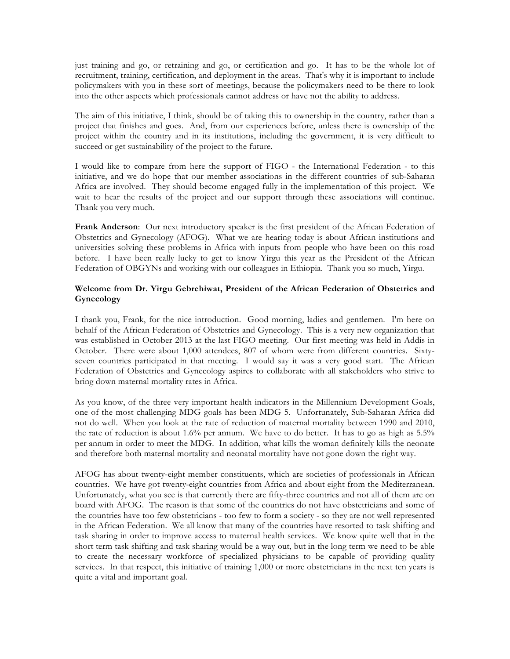just training and go, or retraining and go, or certification and go. It has to be the whole lot of recruitment, training, certification, and deployment in the areas. That's why it is important to include policymakers with you in these sort of meetings, because the policymakers need to be there to look into the other aspects which professionals cannot address or have not the ability to address.

The aim of this initiative, I think, should be of taking this to ownership in the country, rather than a project that finishes and goes. And, from our experiences before, unless there is ownership of the project within the country and in its institutions, including the government, it is very difficult to succeed or get sustainability of the project to the future.

I would like to compare from here the support of FIGO - the International Federation - to this initiative, and we do hope that our member associations in the different countries of sub-Saharan Africa are involved. They should become engaged fully in the implementation of this project. We wait to hear the results of the project and our support through these associations will continue. Thank you very much.

**Frank Anderson**: Our next introductory speaker is the first president of the African Federation of Obstetrics and Gynecology (AFOG). What we are hearing today is about African institutions and universities solving these problems in Africa with inputs from people who have been on this road before. I have been really lucky to get to know Yirgu this year as the President of the African Federation of OBGYNs and working with our colleagues in Ethiopia. Thank you so much, Yirgu.

# **Welcome from Dr. Yirgu Gebrehiwat, President of the African Federation of Obstetrics and Gynecology**

I thank you, Frank, for the nice introduction. Good morning, ladies and gentlemen. I'm here on behalf of the African Federation of Obstetrics and Gynecology. This is a very new organization that was established in October 2013 at the last FIGO meeting. Our first meeting was held in Addis in October. There were about 1,000 attendees, 807 of whom were from different countries. Sixtyseven countries participated in that meeting. I would say it was a very good start. The African Federation of Obstetrics and Gynecology aspires to collaborate with all stakeholders who strive to bring down maternal mortality rates in Africa.

As you know, of the three very important health indicators in the Millennium Development Goals, one of the most challenging MDG goals has been MDG 5. Unfortunately, Sub-Saharan Africa did not do well. When you look at the rate of reduction of maternal mortality between 1990 and 2010, the rate of reduction is about 1.6% per annum. We have to do better. It has to go as high as 5.5% per annum in order to meet the MDG. In addition, what kills the woman definitely kills the neonate and therefore both maternal mortality and neonatal mortality have not gone down the right way.

AFOG has about twenty-eight member constituents, which are societies of professionals in African countries. We have got twenty-eight countries from Africa and about eight from the Mediterranean. Unfortunately, what you see is that currently there are fifty-three countries and not all of them are on board with AFOG. The reason is that some of the countries do not have obstetricians and some of the countries have too few obstetricians - too few to form a society - so they are not well represented in the African Federation. We all know that many of the countries have resorted to task shifting and task sharing in order to improve access to maternal health services. We know quite well that in the short term task shifting and task sharing would be a way out, but in the long term we need to be able to create the necessary workforce of specialized physicians to be capable of providing quality services. In that respect, this initiative of training 1,000 or more obstetricians in the next ten years is quite a vital and important goal.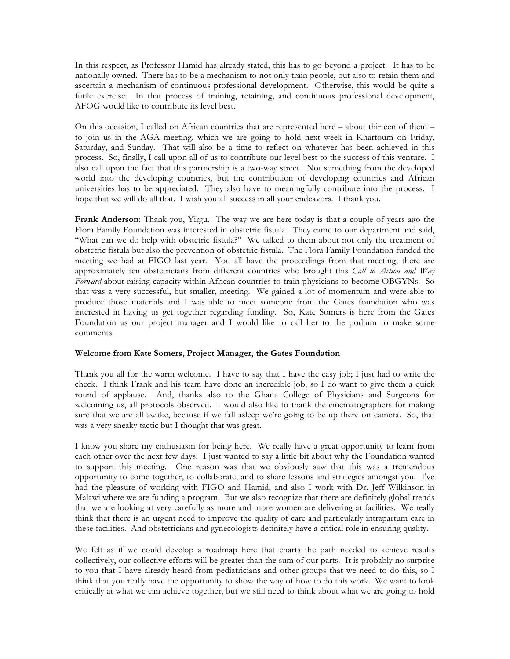In this respect, as Professor Hamid has already stated, this has to go beyond a project. It has to be nationally owned. There has to be a mechanism to not only train people, but also to retain them and ascertain a mechanism of continuous professional development. Otherwise, this would be quite a futile exercise. In that process of training, retaining, and continuous professional development, AFOG would like to contribute its level best.

On this occasion, I called on African countries that are represented here – about thirteen of them – to join us in the AGA meeting, which we are going to hold next week in Khartoum on Friday, Saturday, and Sunday. That will also be a time to reflect on whatever has been achieved in this process. So, finally, I call upon all of us to contribute our level best to the success of this venture. I also call upon the fact that this partnership is a two-way street. Not something from the developed world into the developing countries, but the contribution of developing countries and African universities has to be appreciated. They also have to meaningfully contribute into the process. I hope that we will do all that. I wish you all success in all your endeavors. I thank you.

**Frank Anderson**: Thank you, Yirgu. The way we are here today is that a couple of years ago the Flora Family Foundation was interested in obstetric fistula. They came to our department and said, "What can we do help with obstetric fistula?" We talked to them about not only the treatment of obstetric fistula but also the prevention of obstetric fistula. The Flora Family Foundation funded the meeting we had at FIGO last year. You all have the proceedings from that meeting; there are approximately ten obstetricians from different countries who brought this *Call to Action and Way Forward* about raising capacity within African countries to train physicians to become OBGYNs. So that was a very successful, but smaller, meeting. We gained a lot of momentum and were able to produce those materials and I was able to meet someone from the Gates foundation who was interested in having us get together regarding funding. So, Kate Somers is here from the Gates Foundation as our project manager and I would like to call her to the podium to make some comments.

### **Welcome from Kate Somers, Project Manager, the Gates Foundation**

Thank you all for the warm welcome. I have to say that I have the easy job; I just had to write the check. I think Frank and his team have done an incredible job, so I do want to give them a quick round of applause. And, thanks also to the Ghana College of Physicians and Surgeons for welcoming us, all protocols observed. I would also like to thank the cinematographers for making sure that we are all awake, because if we fall asleep we're going to be up there on camera. So, that was a very sneaky tactic but I thought that was great.

I know you share my enthusiasm for being here. We really have a great opportunity to learn from each other over the next few days. I just wanted to say a little bit about why the Foundation wanted to support this meeting. One reason was that we obviously saw that this was a tremendous opportunity to come together, to collaborate, and to share lessons and strategies amongst you. I've had the pleasure of working with FIGO and Hamid, and also I work with Dr. Jeff Wilkinson in Malawi where we are funding a program. But we also recognize that there are definitely global trends that we are looking at very carefully as more and more women are delivering at facilities. We really think that there is an urgent need to improve the quality of care and particularly intrapartum care in these facilities. And obstetricians and gynecologists definitely have a critical role in ensuring quality.

We felt as if we could develop a roadmap here that charts the path needed to achieve results collectively, our collective efforts will be greater than the sum of our parts. It is probably no surprise to you that I have already heard from pediatricians and other groups that we need to do this, so I think that you really have the opportunity to show the way of how to do this work. We want to look critically at what we can achieve together, but we still need to think about what we are going to hold